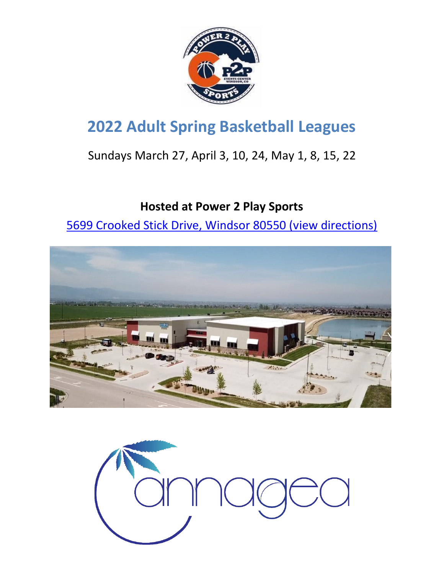

# **2022 Adult Spring Basketball Leagues**

## Sundays March 27, April 3, 10, 24, May 1, 8, 15, 22

## **Hosted at Power 2 Play Sports**

[5699 Crooked Stick Drive, Windsor 80550 \(view directions\)](https://www.google.com/maps/place/5699+Crooked+Stick+Dr,+Windsor,+CO+80550/@40.4512155,-104.982603,17z/data=!3m1!4b1!4m5!3m4!1s0x876ead83501ca3b1:0x1ec3489f68e8078f!8m2!3d40.4512114!4d-104.9804143)



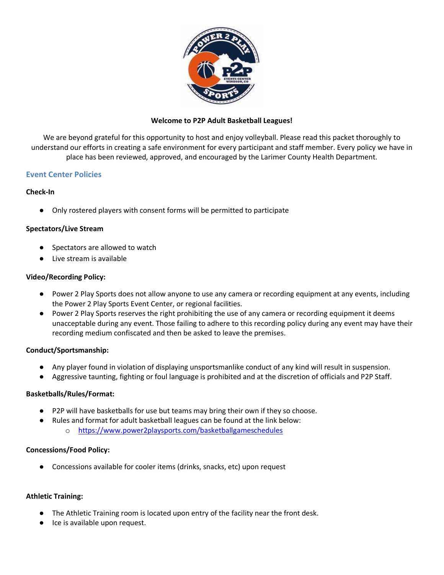

#### **Welcome to P2P Adult Basketball Leagues!**

We are beyond grateful for this opportunity to host and enjoy volleyball. Please read this packet thoroughly to understand our efforts in creating a safe environment for every participant and staff member. Every policy we have in place has been reviewed, approved, and encouraged by the Larimer County Health Department.

### **Event Center Policies**

### **Check-In**

● Only rostered players with consent forms will be permitted to participate

#### **Spectators/Live Stream**

- Spectators are allowed to watch
- Live stream is available

#### **Video/Recording Policy:**

- Power 2 Play Sports does not allow anyone to use any camera or recording equipment at any events, including the Power 2 Play Sports Event Center, or regional facilities.
- Power 2 Play Sports reserves the right prohibiting the use of any camera or recording equipment it deems unacceptable during any event. Those failing to adhere to this recording policy during any event may have their recording medium confiscated and then be asked to leave the premises.

#### **Conduct/Sportsmanship:**

- Any player found in violation of displaying unsportsmanlike conduct of any kind will result in suspension.
- Aggressive taunting, fighting or foul language is prohibited and at the discretion of officials and P2P Staff.

#### **Basketballs/Rules/Format:**

- P2P will have basketballs for use but teams may bring their own if they so choose.
- Rules and format for adult basketball leagues can be found at the link below: o [https://www.power2playsports.com/basketballgameschedules](https://www.power2playsports.com/volleyballgameschedules)

#### **Concessions/Food Policy:**

● Concessions available for cooler items (drinks, snacks, etc) upon request

#### **Athletic Training:**

- The Athletic Training room is located upon entry of the facility near the front desk.
- Ice is available upon request.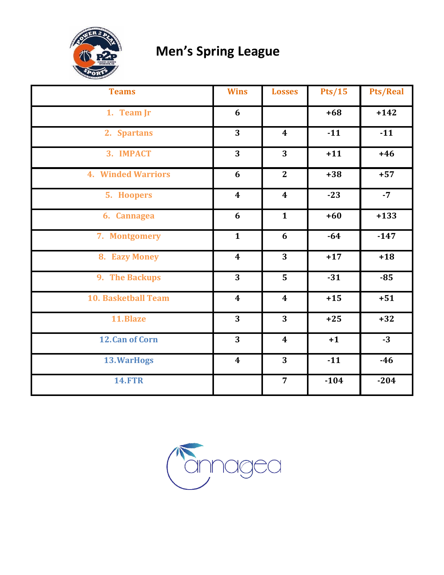

# **Men's Spring League**

| <b>Teams</b>               | <b>Wins</b>      | <b>Losses</b>           | Pts/15 | <b>Pts/Real</b> |
|----------------------------|------------------|-------------------------|--------|-----------------|
| 1. Team Jr                 | 6                |                         | $+68$  | $+142$          |
| 2. Spartans                | 3                | $\boldsymbol{4}$        | $-11$  | $-11$           |
| 3. IMPACT                  | 3                | $\overline{3}$          | $+11$  | $+46$           |
| <b>4. Winded Warriors</b>  | 6                | $\mathbf{2}$            | $+38$  | $+57$           |
| 5. Hoopers                 | $\boldsymbol{4}$ | $\boldsymbol{4}$        | $-23$  | $-7$            |
| 6. Cannagea                | 6                | $\mathbf{1}$            | $+60$  | $+133$          |
| 7. Montgomery              | $\mathbf{1}$     | 6                       | $-64$  | $-147$          |
| 8. Eazy Money              | $\boldsymbol{4}$ | $\overline{3}$          | $+17$  | $+18$           |
| 9. The Backups             | 3                | 5                       | $-31$  | $-85$           |
| <b>10. Basketball Team</b> | $\boldsymbol{4}$ | $\boldsymbol{4}$        | $+15$  | $+51$           |
| 11.Blaze                   | 3                | 3                       | $+25$  | $+32$           |
| 12. Can of Corn            | 3                | $\overline{\mathbf{4}}$ | $+1$   | $-3$            |
| 13. WarHogs                | $\boldsymbol{4}$ | 3                       | $-11$  | $-46$           |
| <b>14.FTR</b>              |                  | $\overline{7}$          | $-104$ | $-204$          |

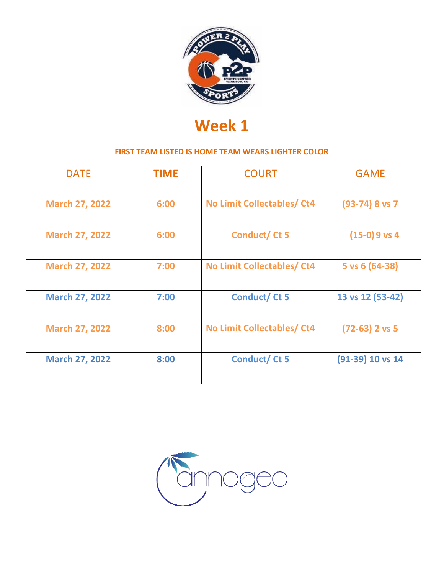

| <b>DATE</b>           | <b>TIME</b> | <b>COURT</b>                      | <b>GAME</b>      |
|-----------------------|-------------|-----------------------------------|------------------|
| <b>March 27, 2022</b> | 6:00        | <b>No Limit Collectables/ Ct4</b> | $(93-74)$ 8 vs 7 |
| <b>March 27, 2022</b> | 6:00        | <b>Conduct/Ct5</b>                | $(15-0)9$ vs 4   |
| <b>March 27, 2022</b> | 7:00        | <b>No Limit Collectables/ Ct4</b> | 5 vs 6 (64-38)   |
| <b>March 27, 2022</b> | 7:00        | <b>Conduct/Ct 5</b>               | 13 vs 12 (53-42) |
| <b>March 27, 2022</b> | 8:00        | No Limit Collectables/ Ct4        | $(72-63)$ 2 vs 5 |
| <b>March 27, 2022</b> | 8:00        | <b>Conduct/Ct 5</b>               | (91-39) 10 vs 14 |

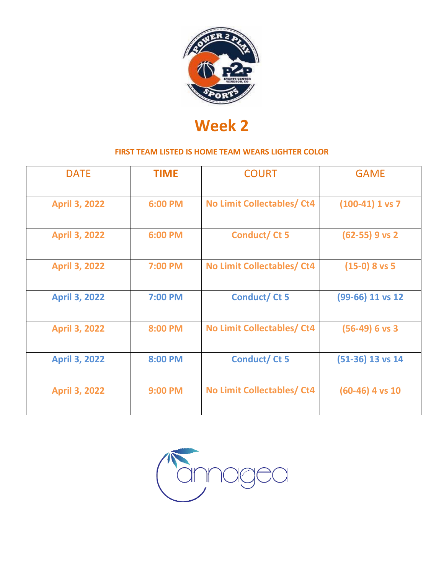

| <b>DATE</b>          | <b>TIME</b> | <b>COURT</b>                      | <b>GAME</b>        |
|----------------------|-------------|-----------------------------------|--------------------|
| <b>April 3, 2022</b> | 6:00 PM     | No Limit Collectables/ Ct4        | $(100-41)$ 1 vs 7  |
| <b>April 3, 2022</b> | 6:00 PM     | Conduct/Ct 5                      | $(62-55)$ 9 vs 2   |
| <b>April 3, 2022</b> | 7:00 PM     | <b>No Limit Collectables/ Ct4</b> | $(15-0)$ 8 vs 5    |
| <b>April 3, 2022</b> | 7:00 PM     | <b>Conduct/Ct 5</b>               | (99-66) 11 vs 12   |
| <b>April 3, 2022</b> | 8:00 PM     | No Limit Collectables/ Ct4        | $(56-49)$ 6 vs 3   |
| <b>April 3, 2022</b> | 8:00 PM     | <b>Conduct/Ct 5</b>               | $(51-36)$ 13 vs 14 |
| <b>April 3, 2022</b> | 9:00 PM     | <b>No Limit Collectables/ Ct4</b> | $(60-46)$ 4 vs 10  |

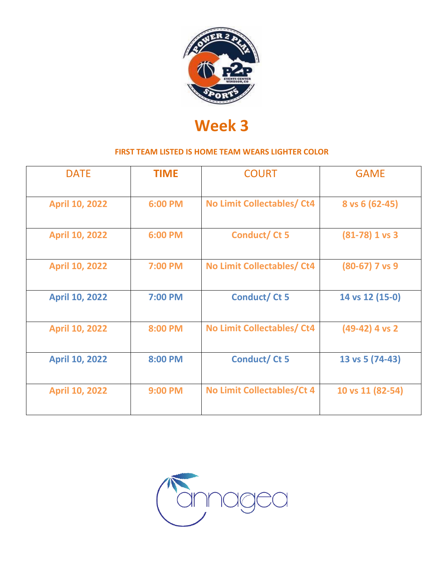

| <b>DATE</b>           | <b>TIME</b>    | <b>COURT</b>               | <b>GAME</b>      |
|-----------------------|----------------|----------------------------|------------------|
| <b>April 10, 2022</b> | 6:00 PM        | No Limit Collectables/ Ct4 | $8$ vs 6 (62-45) |
| <b>April 10, 2022</b> | 6:00 PM        | Conduct/Ct 5               | $(81-78)$ 1 vs 3 |
| <b>April 10, 2022</b> | 7:00 PM        | No Limit Collectables/ Ct4 | $(80-67)$ 7 vs 9 |
| <b>April 10, 2022</b> | 7:00 PM        | <b>Conduct/Ct 5</b>        | 14 vs 12 (15-0)  |
| <b>April 10, 2022</b> | 8:00 PM        | No Limit Collectables/ Ct4 | $(49-42)$ 4 vs 2 |
| <b>April 10, 2022</b> | 8:00 PM        | <b>Conduct/Ct 5</b>        | 13 vs 5 (74-43)  |
| <b>April 10, 2022</b> | <b>9:00 PM</b> | No Limit Collectables/Ct 4 | 10 vs 11 (82-54) |

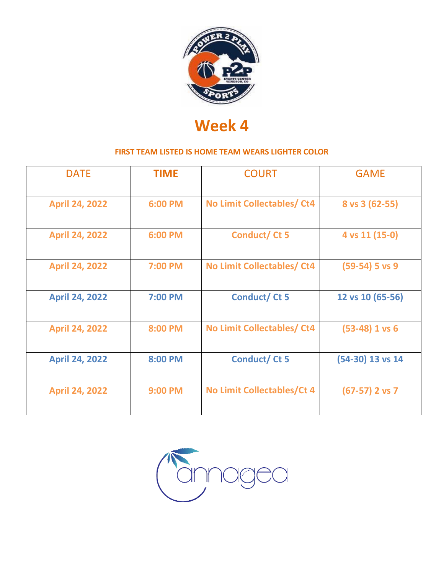

| <b>DATE</b>           | <b>TIME</b>    | <b>COURT</b>               | <b>GAME</b>      |
|-----------------------|----------------|----------------------------|------------------|
| <b>April 24, 2022</b> | 6:00 PM        | No Limit Collectables/ Ct4 | $8$ vs 3 (62-55) |
| <b>April 24, 2022</b> | 6:00 PM        | Conduct/Ct 5               | 4 vs 11 (15-0)   |
| <b>April 24, 2022</b> | 7:00 PM        | No Limit Collectables/Ct4  | $(59-54)$ 5 vs 9 |
| <b>April 24, 2022</b> | 7:00 PM        | <b>Conduct/Ct5</b>         | 12 vs 10 (65-56) |
| <b>April 24, 2022</b> | 8:00 PM        | No Limit Collectables/Ct4  | $(53-48)$ 1 vs 6 |
| <b>April 24, 2022</b> | 8:00 PM        | <b>Conduct/Ct5</b>         | (54-30) 13 vs 14 |
| <b>April 24, 2022</b> | <b>9:00 PM</b> | No Limit Collectables/Ct 4 | $(67-57)$ 2 vs 7 |

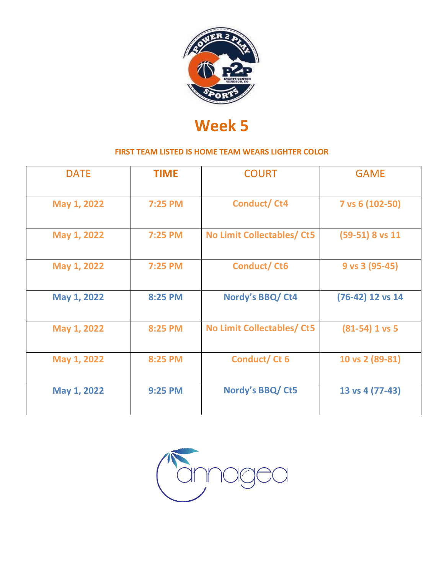

| <b>DATE</b> | <b>TIME</b>    | <b>COURT</b>                      | <b>GAME</b>       |
|-------------|----------------|-----------------------------------|-------------------|
| May 1, 2022 | 7:25 PM        | <b>Conduct/Ct4</b>                | 7 vs 6 (102-50)   |
| May 1, 2022 | 7:25 PM        | <b>No Limit Collectables/ Ct5</b> | $(59-51)$ 8 vs 11 |
| May 1, 2022 | 7:25 PM        | <b>Conduct/Ct6</b>                | 9 vs 3 (95-45)    |
| May 1, 2022 | 8:25 PM        | Nordy's BBQ/ Ct4                  | (76-42) 12 vs 14  |
| May 1, 2022 | 8:25 PM        | No Limit Collectables/ Ct5        | $(81-54)$ 1 vs 5  |
| May 1, 2022 | 8:25 PM        | Conduct/Ct 6                      | 10 vs 2 (89-81)   |
| May 1, 2022 | <b>9:25 PM</b> | Nordy's BBQ/ Ct5                  | 13 vs 4 (77-43)   |

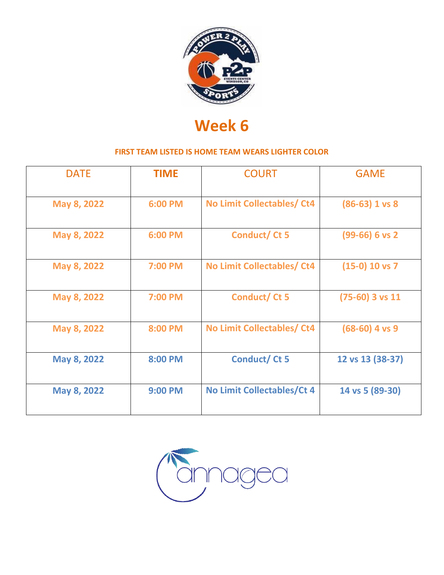

| <b>DATE</b> | <b>TIME</b>    | <b>COURT</b>                      | <b>GAME</b>       |
|-------------|----------------|-----------------------------------|-------------------|
| May 8, 2022 | 6:00 PM        | No Limit Collectables/ Ct4        | $(86-63)$ 1 vs 8  |
| May 8, 2022 | 6:00 PM        | Conduct/Ct 5                      | $(99-66)$ 6 vs 2  |
| May 8, 2022 | 7:00 PM        | No Limit Collectables/ Ct4        | $(15-0)$ 10 vs 7  |
| May 8, 2022 | 7:00 PM        | Conduct/Ct 5                      | $(75-60)$ 3 vs 11 |
| May 8, 2022 | 8:00 PM        | No Limit Collectables/ Ct4        | $(68-60)$ 4 vs 9  |
| May 8, 2022 | 8:00 PM        | <b>Conduct/Ct 5</b>               | 12 vs 13 (38-37)  |
| May 8, 2022 | <b>9:00 PM</b> | <b>No Limit Collectables/Ct 4</b> | 14 vs 5 (89-30)   |

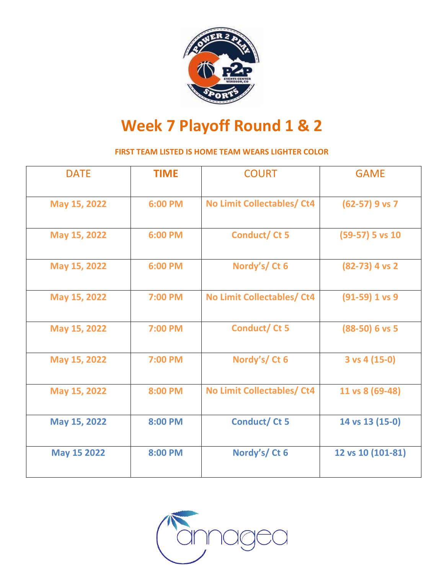

# **Week 7 Playoff Round 1 & 2**

| <b>DATE</b>        | <b>TIME</b> | <b>COURT</b>                      | <b>GAME</b>              |
|--------------------|-------------|-----------------------------------|--------------------------|
| May 15, 2022       | 6:00 PM     | <b>No Limit Collectables/ Ct4</b> | $(62-57)$ 9 vs 7         |
| May 15, 2022       | 6:00 PM     | Conduct/Ct 5                      | $(59-57)$ 5 vs 10        |
| May 15, 2022       | 6:00 PM     | Nordy's/Ct 6                      | $(82-73)$ 4 vs 2         |
| May 15, 2022       | 7:00 PM     | <b>No Limit Collectables/ Ct4</b> | $(91-59)$ 1 vs 9         |
| May 15, 2022       | 7:00 PM     | Conduct/Ct 5                      | $(88-50)$ 6 vs 5         |
| May 15, 2022       | 7:00 PM     | Nordy's/Ct 6                      | $3 \text{ vs } 4 (15-0)$ |
| May 15, 2022       | 8:00 PM     | <b>No Limit Collectables/ Ct4</b> | 11 vs 8 (69-48)          |
| May 15, 2022       | 8:00 PM     | Conduct/Ct 5                      | 14 vs 13 (15-0)          |
| <b>May 15 2022</b> | 8:00 PM     | Nordy's/Ct 6                      | 12 vs 10 (101-81)        |

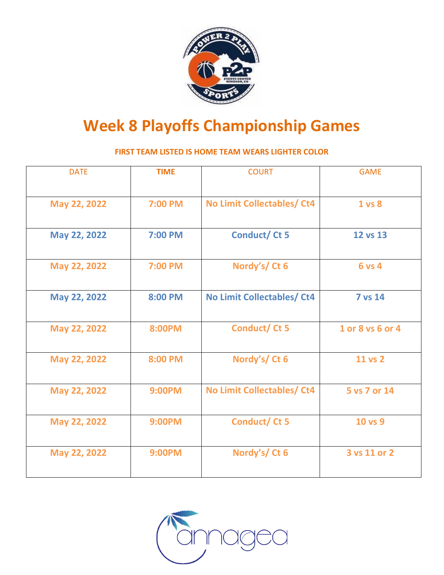

# **Week 8 Playoffs Championship Games**

| <b>DATE</b>  | <b>TIME</b>    | <b>COURT</b>                      | <b>GAME</b>      |
|--------------|----------------|-----------------------------------|------------------|
| May 22, 2022 | 7:00 PM        | <b>No Limit Collectables/ Ct4</b> | 1 vs 8           |
| May 22, 2022 | <b>7:00 PM</b> | <b>Conduct/Ct 5</b>               | 12 vs 13         |
| May 22, 2022 | 7:00 PM        | Nordy's/Ct 6                      | <b>6 vs 4</b>    |
| May 22, 2022 | 8:00 PM        | <b>No Limit Collectables/ Ct4</b> | <b>7 vs 14</b>   |
| May 22, 2022 | 8:00PM         | Conduct/Ct 5                      | 1 or 8 vs 6 or 4 |
| May 22, 2022 | 8:00 PM        | Nordy's/Ct 6                      | 11 vs 2          |
| May 22, 2022 | <b>9:00PM</b>  | <b>No Limit Collectables/ Ct4</b> | 5 vs 7 or 14     |
| May 22, 2022 | <b>9:00PM</b>  | Conduct/Ct 5                      | 10 vs 9          |
| May 22, 2022 | <b>9:00PM</b>  | Nordy's/Ct 6                      | 3 vs 11 or 2     |

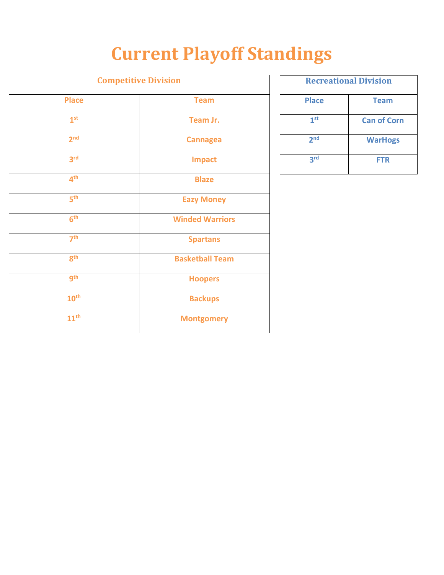# **Current Playoff Standings**

| <b>Competitive Division</b> |                        |  |
|-----------------------------|------------------------|--|
| <b>Place</b>                | <b>Team</b>            |  |
| 1 <sup>st</sup>             | Team Jr.               |  |
| 2 <sup>nd</sup>             | <b>Cannagea</b>        |  |
| 3 <sup>rd</sup>             | <b>Impact</b>          |  |
| 4 <sup>th</sup>             | <b>Blaze</b>           |  |
| 5 <sup>th</sup>             | <b>Eazy Money</b>      |  |
| 6 <sup>th</sup>             | <b>Winded Warriors</b> |  |
| 7 <sup>th</sup>             | <b>Spartans</b>        |  |
| 8 <sup>th</sup>             | <b>Basketball Team</b> |  |
| gth                         | <b>Hoopers</b>         |  |
| 10 <sup>th</sup>            | <b>Backups</b>         |  |
| 11 <sup>th</sup>            | <b>Montgomery</b>      |  |

| <b>Recreational Division</b> |                    |  |
|------------------------------|--------------------|--|
| <b>Place</b>                 | <b>Team</b>        |  |
| 1 <sup>st</sup>              | <b>Can of Corn</b> |  |
| 2 <sub>nd</sub>              | <b>WarHogs</b>     |  |
| 3rd                          | <b>FTR</b>         |  |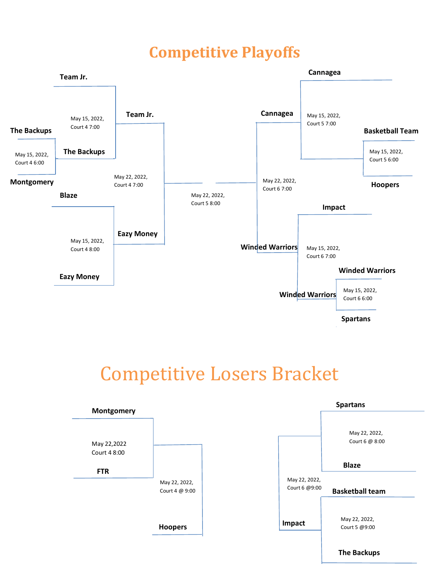# **Competitive Playoffs**



# Competitive Losers Bracket

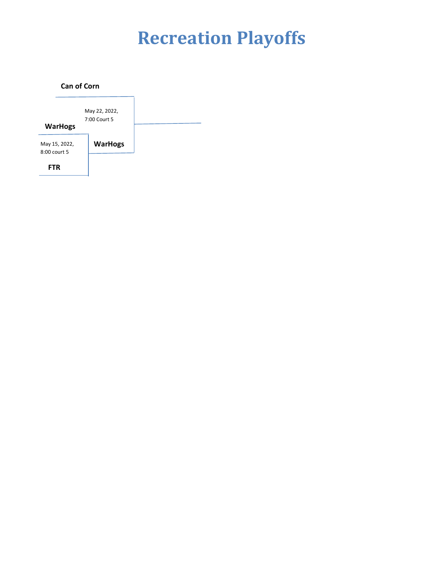# **Recreation Playoffs**